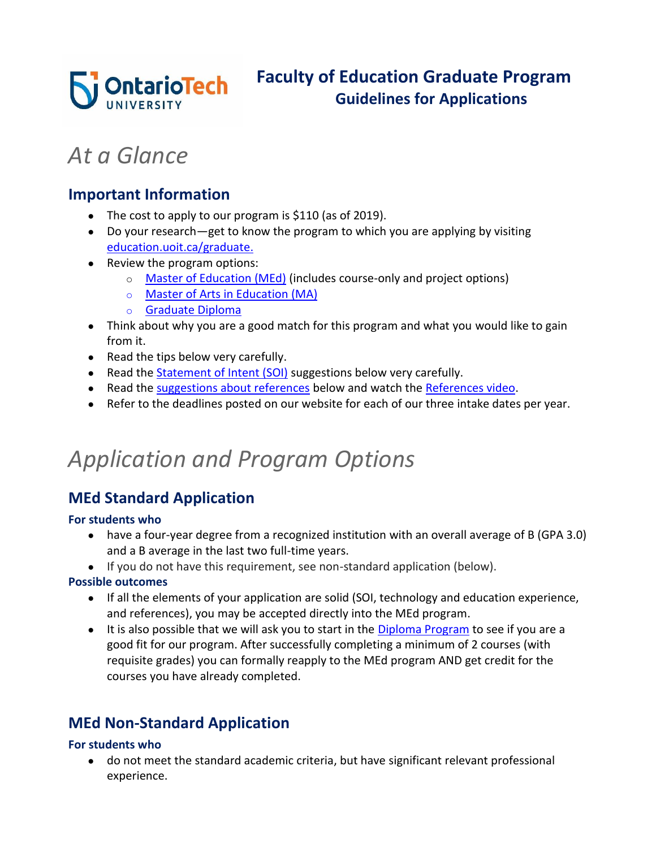

# *At a Glance*

### **Important Information**

- The cost to apply to our program is \$110 (as of 2019).
- Do your research—get to know the program to which you are applying by visiting [education.uoit.ca/graduate.](http://education.uoit.ca/graduate/index.php)
- Review the program options:
	- o [Master of Education \(MEd\)](#page-0-0) (includes course-only and project options)
	- o Master of [Arts in Education \(MA\)](#page-1-0)
	- o [Graduate Diploma](#page-1-1)
- Think about why you are a good match for this program and what you would like to gain from it.
- Read the tips below very carefully.
- Read the [Statement of Intent \(SOI\)](#page-1-2) suggestions below very carefully.
- Read the [suggestions about references](#page-2-0) below and watch the [References video.](#page-2-1)
- Refer to the deadlines posted on our website for each of our three intake dates per year.

## *Application and Program Options*

## <span id="page-0-0"></span>**MEd Standard Application**

### **For students who**

- have a four-year degree from a recognized institution with an overall average of B (GPA 3.0) and a B average in the last two full-time years.
- If you do not have this requirement, see non-standard application (below).

### **Possible outcomes**

- If all the elements of your application are solid (SOI, technology and education experience, and references), you may be accepted directly into the MEd program.
- It is also possible that we will ask you to start in the [Diploma Program](#page-1-1) to see if you are a good fit for our program. After successfully completing a minimum of 2 courses (with requisite grades) you can formally reapply to the MEd program AND get credit for the courses you have already completed.

## **MEd Non-Standard Application**

### **For students who**

● do not meet the standard academic criteria, but have significant relevant professional experience.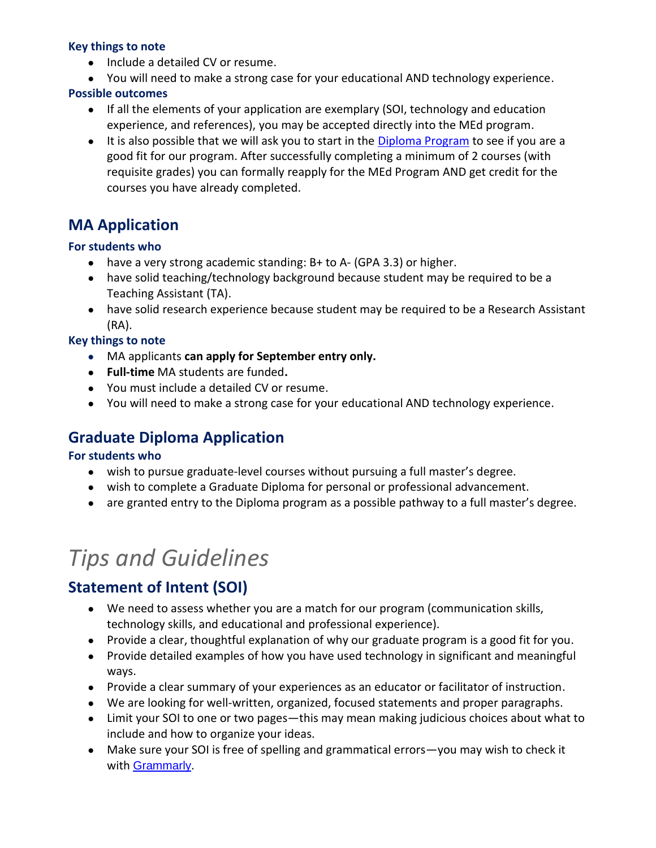#### **Key things to note**

- Include a detailed CV or resume.
- You will need to make a strong case for your educational AND technology experience.

#### **Possible outcomes**

- If all the elements of your application are exemplary (SOI, technology and education experience, and references), you may be accepted directly into the MEd program.
- It is also possible that we will ask you to start in the [Diploma Program](#page-1-1) to see if you are a good fit for our program. After successfully completing a minimum of 2 courses (with requisite grades) you can formally reapply for the MEd Program AND get credit for the courses you have already completed.

## <span id="page-1-0"></span>**MA Application**

### **For students who**

- $\bullet$  have a very strong academic standing: B+ to A- (GPA 3.3) or higher.
- have solid teaching/technology background because student may be required to be a Teaching Assistant (TA).
- have solid research experience because student may be required to be a Research Assistant (RA).

### **Key things to note**

- MA applicants **can apply for September entry only.**
- **Full-time** MA students are funded**.**
- You must include a detailed CV or resume.
- You will need to make a strong case for your educational AND technology experience.

## <span id="page-1-1"></span>**Graduate Diploma Application**

### **For students who**

- wish to pursue graduate-level courses without pursuing a full master's degree.
- wish to complete a Graduate Diploma for personal or professional advancement.
- are granted entry to the Diploma program as a possible pathway to a full master's degree.

# *Tips and Guidelines*

## <span id="page-1-2"></span>**Statement of Intent (SOI)**

- We need to assess whether you are a match for our program (communication skills, technology skills, and educational and professional experience).
- Provide a clear, thoughtful explanation of why our graduate program is a good fit for you.
- Provide detailed examples of how you have used technology in significant and meaningful ways.
- Provide a clear summary of your experiences as an educator or facilitator of instruction.
- We are looking for well-written, organized, focused statements and proper paragraphs.
- Limit your SOI to one or two pages—this may mean making judicious choices about what to include and how to organize your ideas.
- Make sure your SOI is free of spelling and grammatical errors—you may wish to check it with [Grammarly](https://www.grammarly.com/).